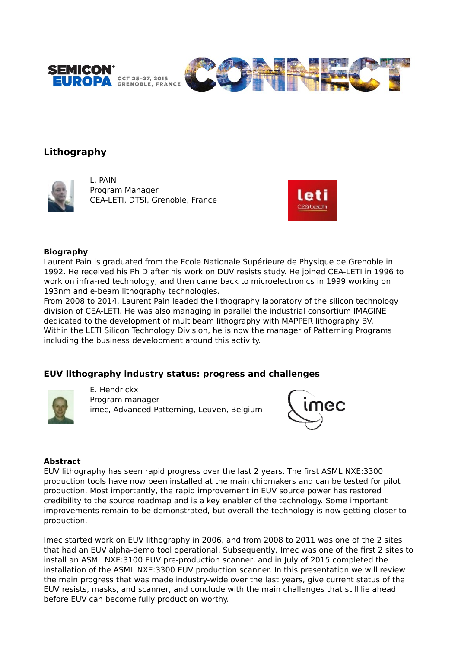



# **Lithography**



L. PAIN Program Manager CEA-LETI, DTSI, Grenoble, France



#### **Biography**

Laurent Pain is graduated from the Ecole Nationale Supérieure de Physique de Grenoble in 1992. He received his Ph D after his work on DUV resists study. He joined CEA-LETI in 1996 to work on infra-red technology, and then came back to microelectronics in 1999 working on 193nm and e-beam lithography technologies.

From 2008 to 2014, Laurent Pain leaded the lithography laboratory of the silicon technology division of CEA-LETI. He was also managing in parallel the industrial consortium IMAGINE dedicated to the development of multibeam lithography with MAPPER lithography BV. Within the LETI Silicon Technology Division, he is now the manager of Patterning Programs including the business development around this activity.

# **EUV lithography industry status: progress and challenges**



E. Hendrickx Program manager imec, Advanced Patterning, Leuven, Belgium



#### **Abstract**

EUV lithography has seen rapid progress over the last 2 years. The first ASML NXE:3300 production tools have now been installed at the main chipmakers and can be tested for pilot production. Most importantly, the rapid improvement in EUV source power has restored credibility to the source roadmap and is a key enabler of the technology. Some important improvements remain to be demonstrated, but overall the technology is now getting closer to production.

Imec started work on EUV lithography in 2006, and from 2008 to 2011 was one of the 2 sites that had an EUV alpha-demo tool operational. Subsequently, Imec was one of the first 2 sites to install an ASML NXE:3100 EUV pre-production scanner, and in July of 2015 completed the installation of the ASML NXE:3300 EUV production scanner. In this presentation we will review the main progress that was made industry-wide over the last years, give current status of the EUV resists, masks, and scanner, and conclude with the main challenges that still lie ahead before EUV can become fully production worthy.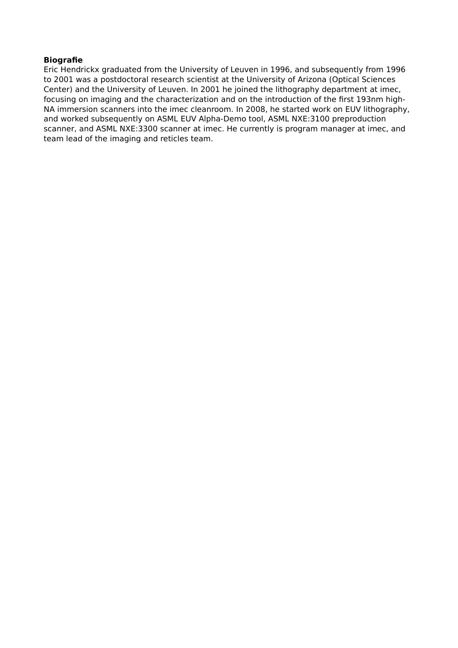### **Biografie**

Eric Hendrickx graduated from the University of Leuven in 1996, and subsequently from 1996 to 2001 was a postdoctoral research scientist at the University of Arizona (Optical Sciences Center) and the University of Leuven. In 2001 he joined the lithography department at imec, focusing on imaging and the characterization and on the introduction of the first 193nm high-NA immersion scanners into the imec cleanroom. In 2008, he started work on EUV lithography, and worked subsequently on ASML EUV Alpha-Demo tool, ASML NXE:3100 preproduction scanner, and ASML NXE:3300 scanner at imec. He currently is program manager at imec, and team lead of the imaging and reticles team.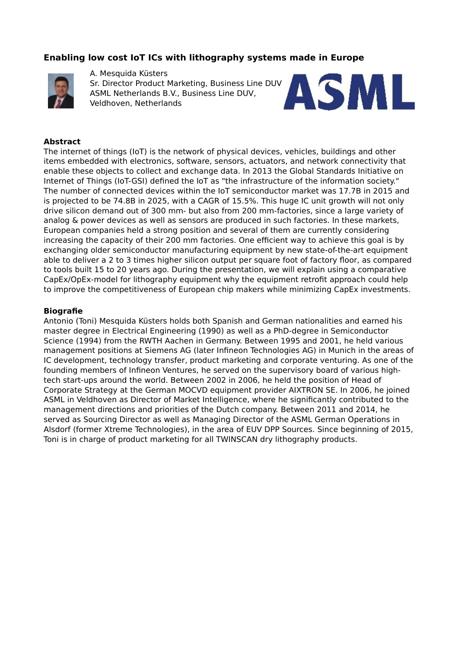# **Enabling low cost IoT ICs with lithography systems made in Europe**



A. Mesquida Küsters

Sr. Director Product Marketing, Business Line DUV ASML Netherlands B.V., Business Line DUV, Veldhoven, Netherlands



### **Abstract**

The internet of things (IoT) is the network of physical devices, vehicles, buildings and other items embedded with electronics, software, sensors, actuators, and network connectivity that enable these objects to collect and exchange data. In 2013 the Global Standards Initiative on Internet of Things (IoT-GSI) defined the IoT as "the infrastructure of the information society." The number of connected devices within the IoT semiconductor market was 17.7B in 2015 and is projected to be 74.8B in 2025, with a CAGR of 15.5%. This huge IC unit growth will not only drive silicon demand out of 300 mm- but also from 200 mm-factories, since a large variety of analog & power devices as well as sensors are produced in such factories. In these markets, European companies held a strong position and several of them are currently considering increasing the capacity of their 200 mm factories. One efficient way to achieve this goal is by exchanging older semiconductor manufacturing equipment by new state-of-the-art equipment able to deliver a 2 to 3 times higher silicon output per square foot of factory floor, as compared to tools built 15 to 20 years ago. During the presentation, we will explain using a comparative CapEx/OpEx-model for lithography equipment why the equipment retrofit approach could help to improve the competitiveness of European chip makers while minimizing CapEx investments.

### **Biografie**

Antonio (Toni) Mesquida Küsters holds both Spanish and German nationalities and earned his master degree in Electrical Engineering (1990) as well as a PhD-degree in Semiconductor Science (1994) from the RWTH Aachen in Germany. Between 1995 and 2001, he held various management positions at Siemens AG (later Infineon Technologies AG) in Munich in the areas of IC development, technology transfer, product marketing and corporate venturing. As one of the founding members of Infineon Ventures, he served on the supervisory board of various hightech start-ups around the world. Between 2002 in 2006, he held the position of Head of Corporate Strategy at the German MOCVD equipment provider AIXTRON SE. In 2006, he joined ASML in Veldhoven as Director of Market Intelligence, where he significantly contributed to the management directions and priorities of the Dutch company. Between 2011 and 2014, he served as Sourcing Director as well as Managing Director of the ASML German Operations in Alsdorf (former Xtreme Technologies), in the area of EUV DPP Sources. Since beginning of 2015, Toni is in charge of product marketing for all TWINSCAN dry lithography products.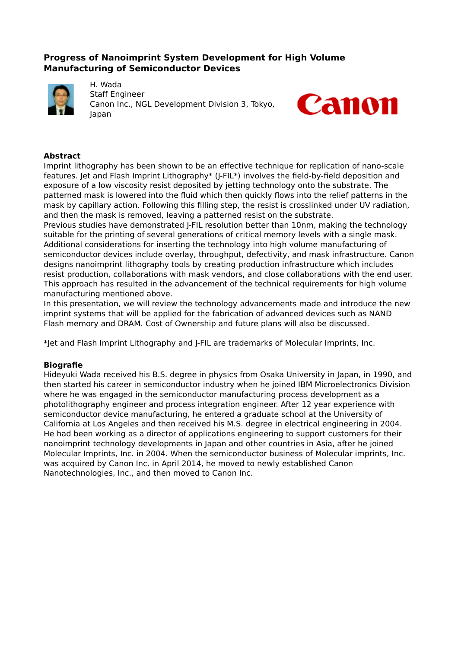# **Progress of Nanoimprint System Development for High Volume Manufacturing of Semiconductor Devices**



H. Wada Staff Engineer Canon Inc., NGL Development Division 3, Tokyo, Japan



### **Abstract**

Imprint lithography has been shown to be an effective technique for replication of nano-scale features. Jet and Flash Imprint Lithography\* (J-FIL\*) involves the field-by-field deposition and exposure of a low viscosity resist deposited by jetting technology onto the substrate. The patterned mask is lowered into the fluid which then quickly flows into the relief patterns in the mask by capillary action. Following this filling step, the resist is crosslinked under UV radiation, and then the mask is removed, leaving a patterned resist on the substrate.

Previous studies have demonstrated J-FIL resolution better than 10nm, making the technology suitable for the printing of several generations of critical memory levels with a single mask. Additional considerations for inserting the technology into high volume manufacturing of semiconductor devices include overlay, throughput, defectivity, and mask infrastructure. Canon designs nanoimprint lithography tools by creating production infrastructure which includes resist production, collaborations with mask vendors, and close collaborations with the end user. This approach has resulted in the advancement of the technical requirements for high volume manufacturing mentioned above.

In this presentation, we will review the technology advancements made and introduce the new imprint systems that will be applied for the fabrication of advanced devices such as NAND Flash memory and DRAM. Cost of Ownership and future plans will also be discussed.

\*Jet and Flash Imprint Lithography and J-FIL are trademarks of Molecular Imprints, Inc.

#### **Biografie**

Hideyuki Wada received his B.S. degree in physics from Osaka University in Japan, in 1990, and then started his career in semiconductor industry when he joined IBM Microelectronics Division where he was engaged in the semiconductor manufacturing process development as a photolithography engineer and process integration engineer. After 12 year experience with semiconductor device manufacturing, he entered a graduate school at the University of California at Los Angeles and then received his M.S. degree in electrical engineering in 2004. He had been working as a director of applications engineering to support customers for their nanoimprint technology developments in Japan and other countries in Asia, after he joined Molecular Imprints, Inc. in 2004. When the semiconductor business of Molecular imprints, Inc. was acquired by Canon Inc. in April 2014, he moved to newly established Canon Nanotechnologies, Inc., and then moved to Canon Inc.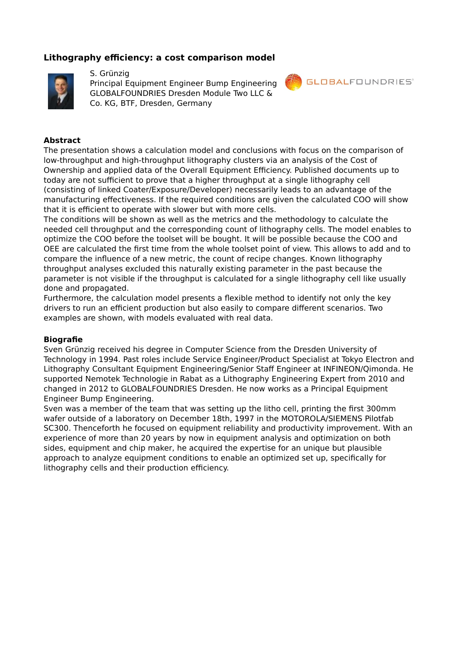# **Lithography efficiency: a cost comparison model**



### S. Grünzig

Principal Equipment Engineer Bump Engineering GLOBALFOUNDRIES Dresden Module Two LLC & Co. KG, BTF, Dresden, Germany



### **Abstract**

The presentation shows a calculation model and conclusions with focus on the comparison of low-throughput and high-throughput lithography clusters via an analysis of the Cost of Ownership and applied data of the Overall Equipment Efficiency. Published documents up to today are not sufficient to prove that a higher throughput at a single lithography cell (consisting of linked Coater/Exposure/Developer) necessarily leads to an advantage of the manufacturing effectiveness. If the required conditions are given the calculated COO will show that it is efficient to operate with slower but with more cells.

The conditions will be shown as well as the metrics and the methodology to calculate the needed cell throughput and the corresponding count of lithography cells. The model enables to optimize the COO before the toolset will be bought. It will be possible because the COO and OEE are calculated the first time from the whole toolset point of view. This allows to add and to compare the influence of a new metric, the count of recipe changes. Known lithography throughput analyses excluded this naturally existing parameter in the past because the parameter is not visible if the throughput is calculated for a single lithography cell like usually done and propagated.

Furthermore, the calculation model presents a flexible method to identify not only the key drivers to run an efficient production but also easily to compare different scenarios. Two examples are shown, with models evaluated with real data.

#### **Biografie**

Sven Grünzig received his degree in Computer Science from the Dresden University of Technology in 1994. Past roles include Service Engineer/Product Specialist at Tokyo Electron and Lithography Consultant Equipment Engineering/Senior Staff Engineer at INFINEON/Qimonda. He supported Nemotek Technologie in Rabat as a Lithography Engineering Expert from 2010 and changed in 2012 to GLOBALFOUNDRIES Dresden. He now works as a Principal Equipment Engineer Bump Engineering.

Sven was a member of the team that was setting up the litho cell, printing the first 300mm wafer outside of a laboratory on December 18th, 1997 in the MOTOROLA/SIEMENS Pilotfab SC300. Thenceforth he focused on equipment reliability and productivity improvement. With an experience of more than 20 years by now in equipment analysis and optimization on both sides, equipment and chip maker, he acquired the expertise for an unique but plausible approach to analyze equipment conditions to enable an optimized set up, specifically for lithography cells and their production efficiency.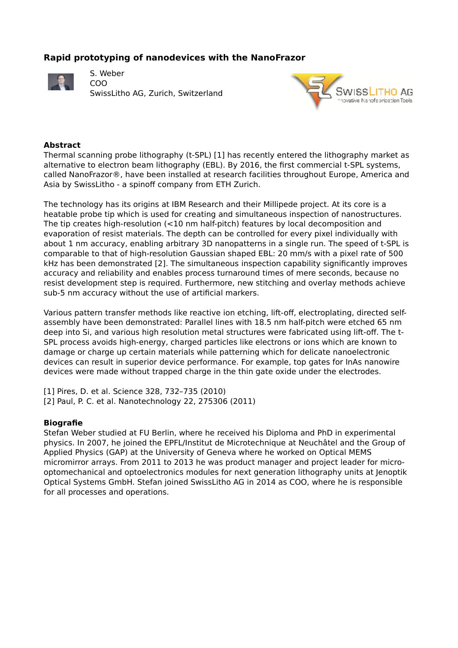# **Rapid prototyping of nanodevices with the NanoFrazor**



S. Weber COO SwissLitho AG, Zurich, Switzerland



### **Abstract**

Thermal scanning probe lithography (t-SPL) [1] has recently entered the lithography market as alternative to electron beam lithography (EBL). By 2016, the first commercial t-SPL systems, called NanoFrazor®, have been installed at research facilities throughout Europe, America and Asia by SwissLitho - a spinoff company from ETH Zurich.

The technology has its origins at IBM Research and their Millipede project. At its core is a heatable probe tip which is used for creating and simultaneous inspection of nanostructures. The tip creates high-resolution  $\left($ <10 nm half-pitch) features by local decomposition and evaporation of resist materials. The depth can be controlled for every pixel individually with about 1 nm accuracy, enabling arbitrary 3D nanopatterns in a single run. The speed of t-SPL is comparable to that of high-resolution Gaussian shaped EBL: 20 mm/s with a pixel rate of 500 kHz has been demonstrated [2]. The simultaneous inspection capability significantly improves accuracy and reliability and enables process turnaround times of mere seconds, because no resist development step is required. Furthermore, new stitching and overlay methods achieve sub-5 nm accuracy without the use of artificial markers.

Various pattern transfer methods like reactive ion etching, lift-off, electroplating, directed selfassembly have been demonstrated: Parallel lines with 18.5 nm half-pitch were etched 65 nm deep into Si, and various high resolution metal structures were fabricated using lift-off. The t-SPL process avoids high-energy, charged particles like electrons or ions which are known to damage or charge up certain materials while patterning which for delicate nanoelectronic devices can result in superior device performance. For example, top gates for InAs nanowire devices were made without trapped charge in the thin gate oxide under the electrodes.

[1] Pires, D. et al. Science 328, 732–735 (2010) [2] Paul, P. C. et al. Nanotechnology 22, 275306 (2011)

#### **Biografie**

Stefan Weber studied at FU Berlin, where he received his Diploma and PhD in experimental physics. In 2007, he joined the EPFL/Institut de Microtechnique at Neuchâtel and the Group of Applied Physics (GAP) at the University of Geneva where he worked on Optical MEMS micromirror arrays. From 2011 to 2013 he was product manager and project leader for microoptomechanical and optoelectronics modules for next generation lithography units at Jenoptik Optical Systems GmbH. Stefan joined SwissLitho AG in 2014 as COO, where he is responsible for all processes and operations.